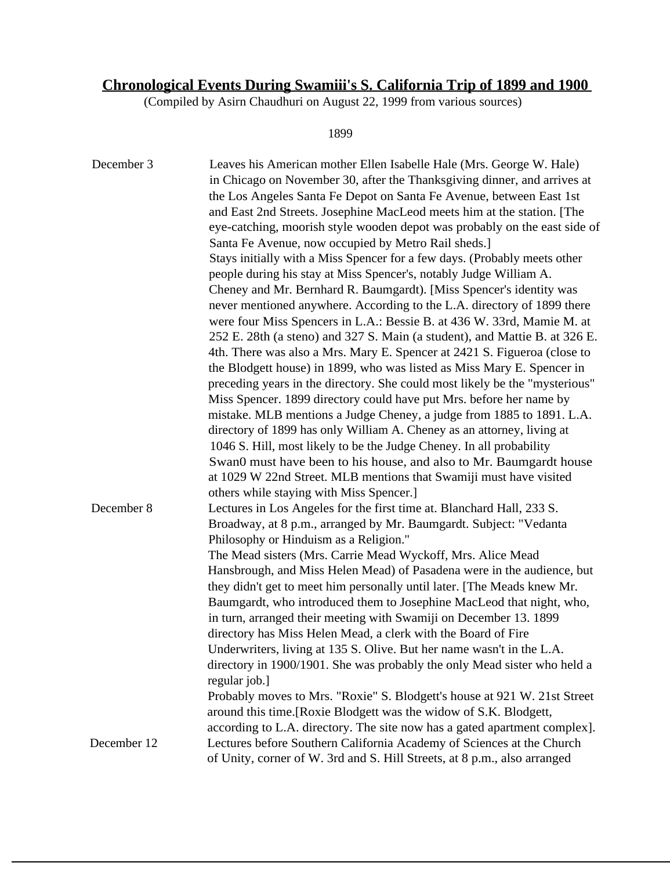## **Chronological Events During Swamiii's S. California Trip of 1899 and 1900**

(Compiled by Asirn Chaudhuri on August 22, 1999 from various sources)

1899

| December 3  | Leaves his American mother Ellen Isabelle Hale (Mrs. George W. Hale)<br>in Chicago on November 30, after the Thanksgiving dinner, and arrives at<br>the Los Angeles Santa Fe Depot on Santa Fe Avenue, between East 1st<br>and East 2nd Streets. Josephine MacLeod meets him at the station. [The<br>eye-catching, moorish style wooden depot was probably on the east side of<br>Santa Fe Avenue, now occupied by Metro Rail sheds.]<br>Stays initially with a Miss Spencer for a few days. (Probably meets other<br>people during his stay at Miss Spencer's, notably Judge William A.<br>Cheney and Mr. Bernhard R. Baumgardt). [Miss Spencer's identity was<br>never mentioned anywhere. According to the L.A. directory of 1899 there<br>were four Miss Spencers in L.A.: Bessie B. at 436 W. 33rd, Mamie M. at<br>252 E. 28th (a steno) and 327 S. Main (a student), and Mattie B. at 326 E.<br>4th. There was also a Mrs. Mary E. Spencer at 2421 S. Figueroa (close to<br>the Blodgett house) in 1899, who was listed as Miss Mary E. Spencer in<br>preceding years in the directory. She could most likely be the "mysterious"<br>Miss Spencer. 1899 directory could have put Mrs. before her name by<br>mistake. MLB mentions a Judge Cheney, a judge from 1885 to 1891. L.A.<br>directory of 1899 has only William A. Cheney as an attorney, living at<br>1046 S. Hill, most likely to be the Judge Cheney. In all probability<br>Swan0 must have been to his house, and also to Mr. Baumgardt house<br>at 1029 W 22nd Street. MLB mentions that Swamiji must have visited<br>others while staying with Miss Spencer. |
|-------------|----------------------------------------------------------------------------------------------------------------------------------------------------------------------------------------------------------------------------------------------------------------------------------------------------------------------------------------------------------------------------------------------------------------------------------------------------------------------------------------------------------------------------------------------------------------------------------------------------------------------------------------------------------------------------------------------------------------------------------------------------------------------------------------------------------------------------------------------------------------------------------------------------------------------------------------------------------------------------------------------------------------------------------------------------------------------------------------------------------------------------------------------------------------------------------------------------------------------------------------------------------------------------------------------------------------------------------------------------------------------------------------------------------------------------------------------------------------------------------------------------------------------------------------------------------------------------------------------------------------------------------|
| December 8  | Lectures in Los Angeles for the first time at. Blanchard Hall, 233 S.<br>Broadway, at 8 p.m., arranged by Mr. Baumgardt. Subject: "Vedanta<br>Philosophy or Hinduism as a Religion."<br>The Mead sisters (Mrs. Carrie Mead Wyckoff, Mrs. Alice Mead<br>Hansbrough, and Miss Helen Mead) of Pasadena were in the audience, but<br>they didn't get to meet him personally until later. [The Meads knew Mr.<br>Baumgardt, who introduced them to Josephine MacLeod that night, who,<br>in turn, arranged their meeting with Swamiji on December 13. 1899<br>directory has Miss Helen Mead, a clerk with the Board of Fire<br>Underwriters, living at 135 S. Olive. But her name wasn't in the L.A.<br>directory in 1900/1901. She was probably the only Mead sister who held a<br>regular job.]<br>Probably moves to Mrs. "Roxie" S. Blodgett's house at 921 W. 21st Street<br>around this time. [Roxie Blodgett was the widow of S.K. Blodgett,<br>according to L.A. directory. The site now has a gated apartment complex].                                                                                                                                                                                                                                                                                                                                                                                                                                                                                                                                                                                                       |
| December 12 | Lectures before Southern California Academy of Sciences at the Church<br>of Unity, corner of W. 3rd and S. Hill Streets, at 8 p.m., also arranged                                                                                                                                                                                                                                                                                                                                                                                                                                                                                                                                                                                                                                                                                                                                                                                                                                                                                                                                                                                                                                                                                                                                                                                                                                                                                                                                                                                                                                                                                |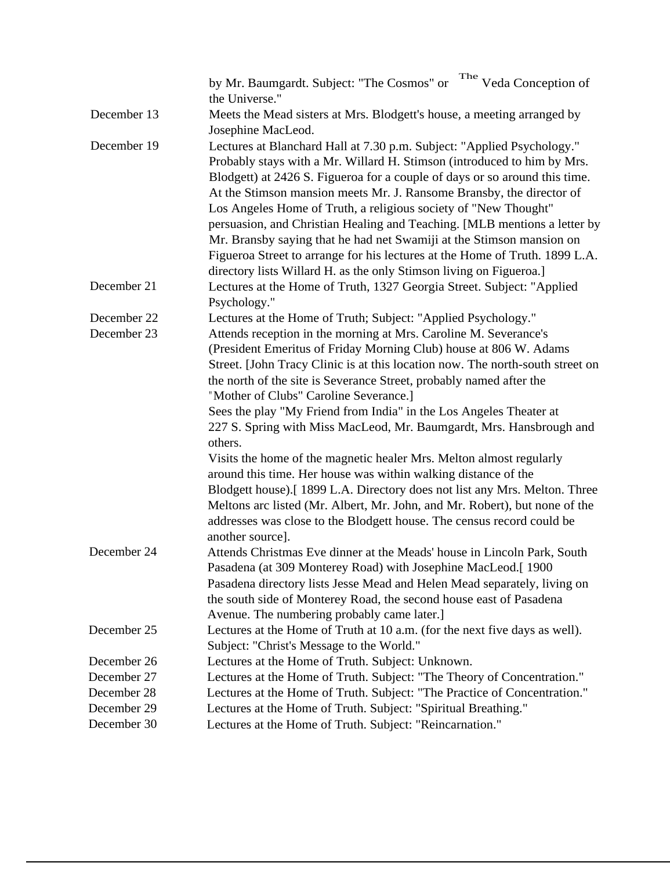|             | by Mr. Baumgardt. Subject: "The Cosmos" or The Veda Conception of<br>the Universe."                                                                                                                                                                                                                                                                                                                                                                                                                                                                                                                                                                                                                                                                                                                 |
|-------------|-----------------------------------------------------------------------------------------------------------------------------------------------------------------------------------------------------------------------------------------------------------------------------------------------------------------------------------------------------------------------------------------------------------------------------------------------------------------------------------------------------------------------------------------------------------------------------------------------------------------------------------------------------------------------------------------------------------------------------------------------------------------------------------------------------|
| December 13 | Meets the Mead sisters at Mrs. Blodgett's house, a meeting arranged by<br>Josephine MacLeod.                                                                                                                                                                                                                                                                                                                                                                                                                                                                                                                                                                                                                                                                                                        |
| December 19 | Lectures at Blanchard Hall at 7.30 p.m. Subject: "Applied Psychology."<br>Probably stays with a Mr. Willard H. Stimson (introduced to him by Mrs.<br>Blodgett) at 2426 S. Figueroa for a couple of days or so around this time.<br>At the Stimson mansion meets Mr. J. Ransome Bransby, the director of<br>Los Angeles Home of Truth, a religious society of "New Thought"<br>persuasion, and Christian Healing and Teaching. [MLB mentions a letter by<br>Mr. Bransby saying that he had net Swamiji at the Stimson mansion on<br>Figueroa Street to arrange for his lectures at the Home of Truth. 1899 L.A.<br>directory lists Willard H. as the only Stimson living on Figueroa.]                                                                                                               |
| December 21 | Lectures at the Home of Truth, 1327 Georgia Street. Subject: "Applied<br>Psychology."                                                                                                                                                                                                                                                                                                                                                                                                                                                                                                                                                                                                                                                                                                               |
| December 22 | Lectures at the Home of Truth; Subject: "Applied Psychology."                                                                                                                                                                                                                                                                                                                                                                                                                                                                                                                                                                                                                                                                                                                                       |
| December 23 | Attends reception in the morning at Mrs. Caroline M. Severance's<br>(President Emeritus of Friday Morning Club) house at 806 W. Adams<br>Street. [John Tracy Clinic is at this location now. The north-south street on<br>the north of the site is Severance Street, probably named after the<br>"Mother of Clubs" Caroline Severance.]<br>Sees the play "My Friend from India" in the Los Angeles Theater at<br>227 S. Spring with Miss MacLeod, Mr. Baumgardt, Mrs. Hansbrough and<br>others.<br>Visits the home of the magnetic healer Mrs. Melton almost regularly<br>around this time. Her house was within walking distance of the<br>Blodgett house).[1899 L.A. Directory does not list any Mrs. Melton. Three<br>Meltons arc listed (Mr. Albert, Mr. John, and Mr. Robert), but none of the |
|             | addresses was close to the Blodgett house. The census record could be<br>another source].                                                                                                                                                                                                                                                                                                                                                                                                                                                                                                                                                                                                                                                                                                           |
| December 24 | Attends Christmas Eve dinner at the Meads' house in Lincoln Park, South<br>Pasadena (at 309 Monterey Road) with Josephine MacLeod.[1900<br>Pasadena directory lists Jesse Mead and Helen Mead separately, living on<br>the south side of Monterey Road, the second house east of Pasadena<br>Avenue. The numbering probably came later.]                                                                                                                                                                                                                                                                                                                                                                                                                                                            |
| December 25 | Lectures at the Home of Truth at 10 a.m. (for the next five days as well).<br>Subject: "Christ's Message to the World."                                                                                                                                                                                                                                                                                                                                                                                                                                                                                                                                                                                                                                                                             |
| December 26 | Lectures at the Home of Truth. Subject: Unknown.                                                                                                                                                                                                                                                                                                                                                                                                                                                                                                                                                                                                                                                                                                                                                    |
| December 27 | Lectures at the Home of Truth. Subject: "The Theory of Concentration."                                                                                                                                                                                                                                                                                                                                                                                                                                                                                                                                                                                                                                                                                                                              |
| December 28 | Lectures at the Home of Truth. Subject: "The Practice of Concentration."                                                                                                                                                                                                                                                                                                                                                                                                                                                                                                                                                                                                                                                                                                                            |
| December 29 | Lectures at the Home of Truth. Subject: "Spiritual Breathing."                                                                                                                                                                                                                                                                                                                                                                                                                                                                                                                                                                                                                                                                                                                                      |
| December 30 | Lectures at the Home of Truth. Subject: "Reincarnation."                                                                                                                                                                                                                                                                                                                                                                                                                                                                                                                                                                                                                                                                                                                                            |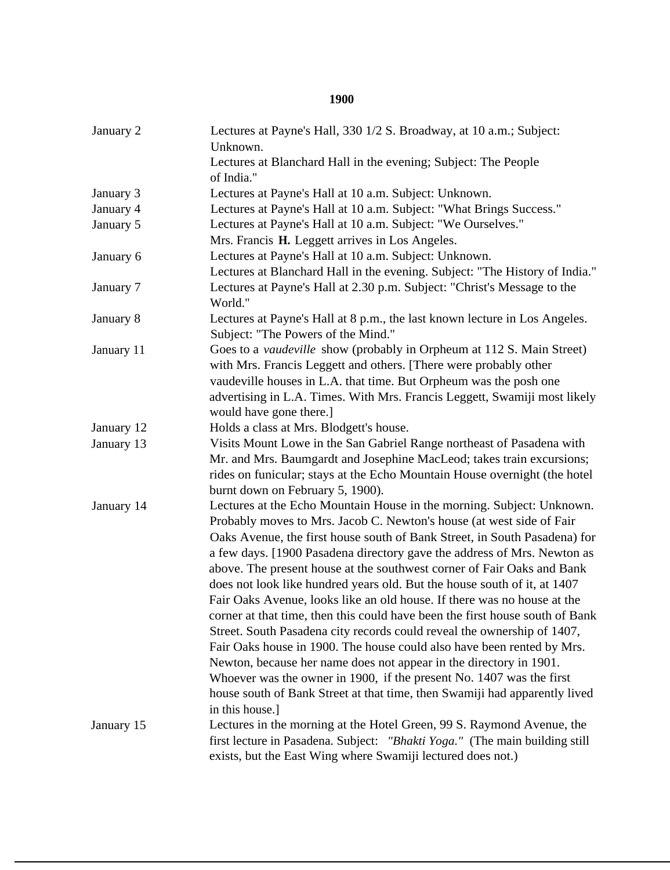## **1900**

| January 2  | Lectures at Payne's Hall, 330 1/2 S. Broadway, at 10 a.m.; Subject:<br>Unknown.                                                            |
|------------|--------------------------------------------------------------------------------------------------------------------------------------------|
|            | Lectures at Blanchard Hall in the evening; Subject: The People<br>of India."                                                               |
| January 3  | Lectures at Payne's Hall at 10 a.m. Subject: Unknown.                                                                                      |
| January 4  | Lectures at Payne's Hall at 10 a.m. Subject: "What Brings Success."                                                                        |
| January 5  | Lectures at Payne's Hall at 10 a.m. Subject: "We Ourselves."                                                                               |
|            | Mrs. Francis H. Leggett arrives in Los Angeles.                                                                                            |
| January 6  | Lectures at Payne's Hall at 10 a.m. Subject: Unknown.                                                                                      |
|            | Lectures at Blanchard Hall in the evening. Subject: "The History of India."                                                                |
| January 7  | Lectures at Payne's Hall at 2.30 p.m. Subject: "Christ's Message to the<br>World."                                                         |
| January 8  | Lectures at Payne's Hall at 8 p.m., the last known lecture in Los Angeles.<br>Subject: "The Powers of the Mind."                           |
| January 11 | Goes to a vaudeville show (probably in Orpheum at 112 S. Main Street)                                                                      |
|            | with Mrs. Francis Leggett and others. [There were probably other                                                                           |
|            | vaudeville houses in L.A. that time. But Orpheum was the posh one                                                                          |
|            | advertising in L.A. Times. With Mrs. Francis Leggett, Swamiji most likely                                                                  |
|            | would have gone there.]                                                                                                                    |
| January 12 | Holds a class at Mrs. Blodgett's house.                                                                                                    |
| January 13 | Visits Mount Lowe in the San Gabriel Range northeast of Pasadena with                                                                      |
|            | Mr. and Mrs. Baumgardt and Josephine MacLeod; takes train excursions;                                                                      |
|            | rides on funicular; stays at the Echo Mountain House overnight (the hotel<br>burnt down on February 5, 1900).                              |
| January 14 | Lectures at the Echo Mountain House in the morning. Subject: Unknown.                                                                      |
|            | Probably moves to Mrs. Jacob C. Newton's house (at west side of Fair                                                                       |
|            | Oaks Avenue, the first house south of Bank Street, in South Pasadena) for                                                                  |
|            | a few days. [1900 Pasadena directory gave the address of Mrs. Newton as                                                                    |
|            | above. The present house at the southwest corner of Fair Oaks and Bank                                                                     |
|            | does not look like hundred years old. But the house south of it, at 1407                                                                   |
|            | Fair Oaks Avenue, looks like an old house. If there was no house at the                                                                    |
|            | corner at that time, then this could have been the first house south of Bank                                                               |
|            | Street. South Pasadena city records could reveal the ownership of 1407,                                                                    |
|            | Fair Oaks house in 1900. The house could also have been rented by Mrs.                                                                     |
|            | Newton, because her name does not appear in the directory in 1901.                                                                         |
|            | Whoever was the owner in 1900, if the present No. 1407 was the first                                                                       |
|            | house south of Bank Street at that time, then Swamiji had apparently lived<br>in this house.]                                              |
| January 15 | Lectures in the morning at the Hotel Green, 99 S. Raymond Avenue, the                                                                      |
|            | first lecture in Pasadena. Subject: "Bhakti Yoga." (The main building still<br>exists, but the East Wing where Swamiji lectured does not.) |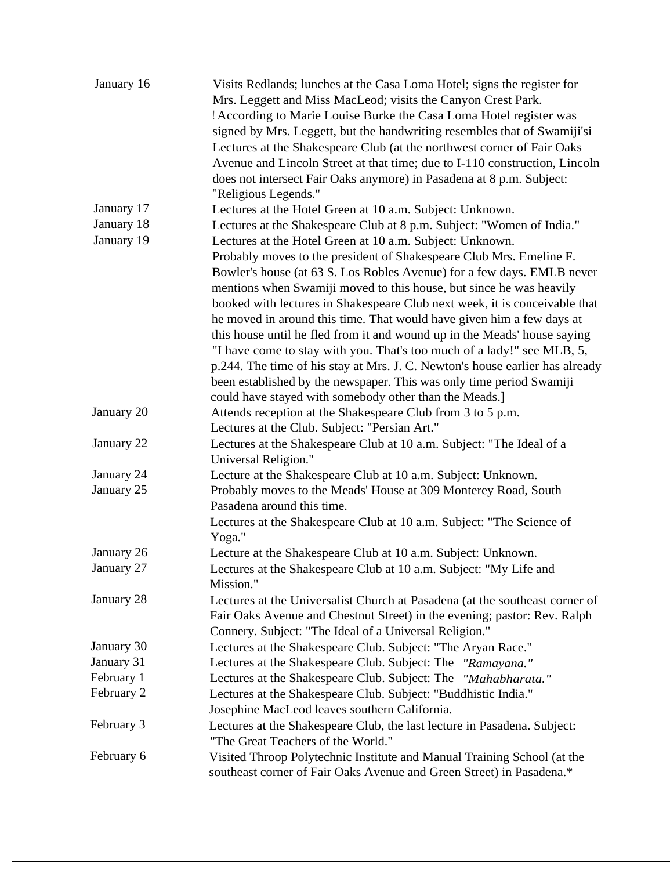| January 16 | Visits Redlands; lunches at the Casa Loma Hotel; signs the register for      |
|------------|------------------------------------------------------------------------------|
|            | Mrs. Leggett and Miss MacLeod; visits the Canyon Crest Park.                 |
|            | According to Marie Louise Burke the Casa Loma Hotel register was             |
|            | signed by Mrs. Leggett, but the handwriting resembles that of Swamiji'si     |
|            | Lectures at the Shakespeare Club (at the northwest corner of Fair Oaks       |
|            | Avenue and Lincoln Street at that time; due to I-110 construction, Lincoln   |
|            | does not intersect Fair Oaks anymore) in Pasadena at 8 p.m. Subject:         |
|            | "Religious Legends."                                                         |
| January 17 | Lectures at the Hotel Green at 10 a.m. Subject: Unknown.                     |
| January 18 | Lectures at the Shakespeare Club at 8 p.m. Subject: "Women of India."        |
| January 19 | Lectures at the Hotel Green at 10 a.m. Subject: Unknown.                     |
|            | Probably moves to the president of Shakespeare Club Mrs. Emeline F.          |
|            | Bowler's house (at 63 S. Los Robles Avenue) for a few days. EMLB never       |
|            | mentions when Swamiji moved to this house, but since he was heavily          |
|            | booked with lectures in Shakespeare Club next week, it is conceivable that   |
|            | he moved in around this time. That would have given him a few days at        |
|            | this house until he fled from it and wound up in the Meads' house saying     |
|            | "I have come to stay with you. That's too much of a lady!" see MLB, 5,       |
|            | p.244. The time of his stay at Mrs. J. C. Newton's house earlier has already |
|            | been established by the newspaper. This was only time period Swamiji         |
|            | could have stayed with somebody other than the Meads.]                       |
| January 20 | Attends reception at the Shakespeare Club from 3 to 5 p.m.                   |
|            | Lectures at the Club. Subject: "Persian Art."                                |
| January 22 | Lectures at the Shakespeare Club at 10 a.m. Subject: "The Ideal of a         |
|            | Universal Religion."                                                         |
| January 24 | Lecture at the Shakespeare Club at 10 a.m. Subject: Unknown.                 |
| January 25 | Probably moves to the Meads' House at 309 Monterey Road, South               |
|            | Pasadena around this time.                                                   |
|            | Lectures at the Shakespeare Club at 10 a.m. Subject: "The Science of         |
|            | Yoga."                                                                       |
| January 26 | Lecture at the Shakespeare Club at 10 a.m. Subject: Unknown.                 |
| January 27 | Lectures at the Shakespeare Club at 10 a.m. Subject: "My Life and            |
|            | Mission."                                                                    |
| January 28 | Lectures at the Universalist Church at Pasadena (at the southeast corner of  |
|            | Fair Oaks Avenue and Chestnut Street) in the evening; pastor: Rev. Ralph     |
|            | Connery. Subject: "The Ideal of a Universal Religion."                       |
| January 30 | Lectures at the Shakespeare Club. Subject: "The Aryan Race."                 |
| January 31 | Lectures at the Shakespeare Club. Subject: The "Ramayana."                   |
| February 1 | Lectures at the Shakespeare Club. Subject: The "Mahabharata."                |
| February 2 | Lectures at the Shakespeare Club. Subject: "Buddhistic India."               |
|            | Josephine MacLeod leaves southern California.                                |
| February 3 | Lectures at the Shakespeare Club, the last lecture in Pasadena. Subject:     |
|            | "The Great Teachers of the World."                                           |
| February 6 | Visited Throop Polytechnic Institute and Manual Training School (at the      |
|            | southeast corner of Fair Oaks Avenue and Green Street) in Pasadena.*         |